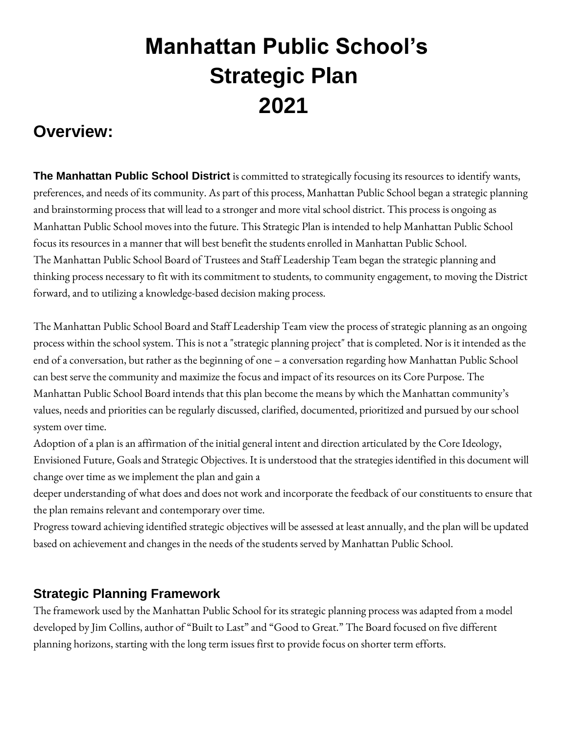## **Manhattan Public School's Strategic Plan 2021**

## **Overview:**

**The Manhattan Public School District** is committed to strategically focusing its resources to identify wants, preferences, and needs of its community. As part of this process, Manhattan Public School began a strategic planning and brainstorming process that will lead to a stronger and more vital school district. This process is ongoing as Manhattan Public School moves into the future. This Strategic Plan is intended to help Manhattan Public School focus its resources in a manner that will best benefit the students enrolled in Manhattan Public School. The Manhattan Public School Board of Trustees and Staff Leadership Team began the strategic planning and thinking process necessary to fit with its commitment to students, to community engagement, to moving the District forward, and to utilizing a knowledge-based decision making process.

The Manhattan Public School Board and Staff Leadership Team view the process of strategic planning as an ongoing process within the school system. This is not a "strategic planning project" that is completed. Nor is it intended as the end of a conversation, but rather as the beginning of one – a conversation regarding how Manhattan Public School can best serve the community and maximize the focus and impact of its resources on its Core Purpose. The Manhattan Public School Board intends that this plan become the means by which the Manhattan community's values, needs and priorities can be regularly discussed, clarified, documented, prioritized and pursued by our school system over time.

Adoption of a plan is an affirmation of the initial general intent and direction articulated by the Core Ideology, Envisioned Future, Goals and Strategic Objectives. It is understood that the strategies identified in this document will change over time as we implement the plan and gain a

deeper understanding of what does and does not work and incorporate the feedback of our constituents to ensure that the plan remains relevant and contemporary over time.

Progress toward achieving identified strategic objectives will be assessed at least annually, and the plan will be updated based on achievement and changes in the needs of the students served by Manhattan Public School.

## **Strategic Planning Framework**

The framework used by the Manhattan Public School for its strategic planning process was adapted from a model developed by Jim Collins, author of "Built to Last" and "Good to Great." The Board focused on five different planning horizons, starting with the long term issues first to provide focus on shorter term efforts.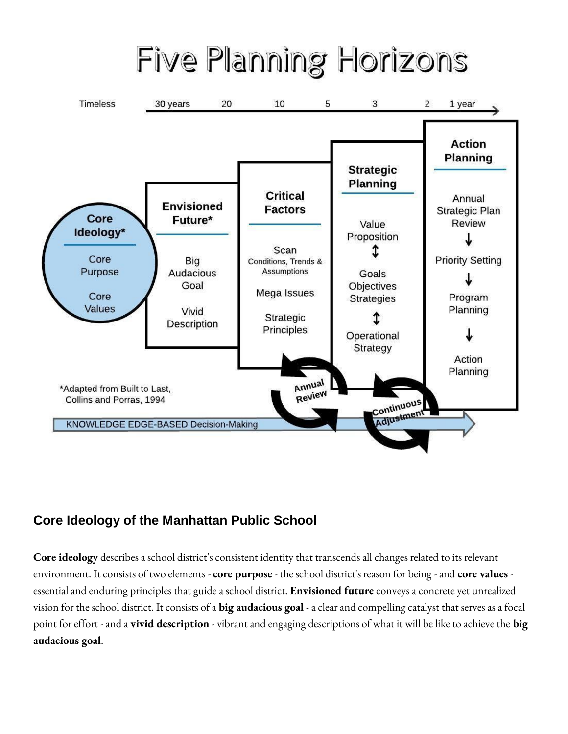# Five Planning Horizons



## **Core Ideology of the Manhattan Public School**

**Core ideology** describes a school district's consistent identity that transcends all changes related to its relevant environment. It consists of two elements - **core purpose** - the school district's reason for being -and **core values** essential and enduring principles that guide a school district. **Envisioned future** conveys a concrete yet unrealized vision for the school district. It consists of a **big audacious goal** -a clear and compelling catalyst that serves as a focal point for effort -and a **vivid description** - vibrant and engaging descriptions of what it will be like to achieve the **big audacious goal**.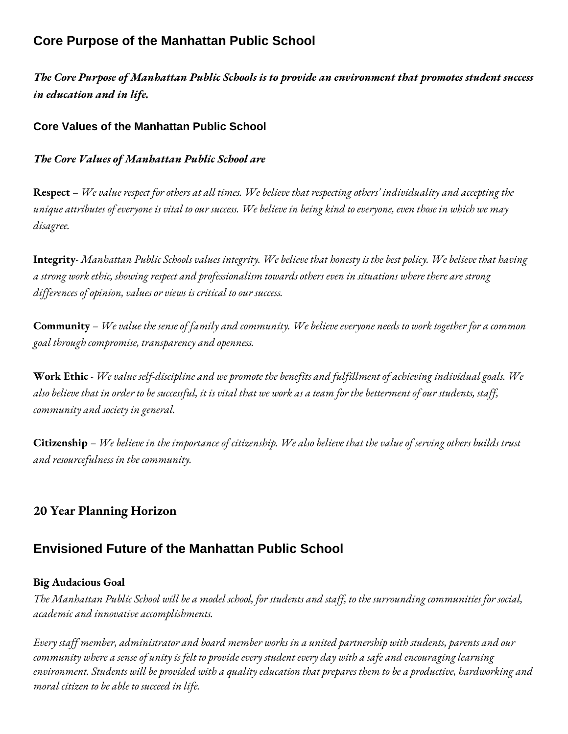## **Core Purpose of the Manhattan Public School**

*The Core Purpose of Manhattan Public Schools is to provide an environment that promotes student success in education and in life.* 

## **Core Values of the Manhattan Public School**

## *The Core Values of Manhattan Public School are*

**Respect** – *We value respect for others at all times. We believe that respecting others' individuality and accepting the unique attributes of everyone is vital to our success. We believe in being kind to everyone, even those in which we may disagree.* 

**Integrity**- *Manhattan Public Schools values integrity. We believe that honesty is the best policy. We believe that having a strong work ethic, showing respect and professionalism towards others even in situations where there are strong differences of opinion, values or views is critical to our success.*

**Community** – *We value the sense of family and community. We believe everyone needs to work together for a common goal through compromise, transparency and openness.*

**Work Ethic** - *We value self-discipline and we promote the benefits and fulfillment of achieving individual goals. We also believe that in order to be successful, it is vital that we work as a team for the betterment of our students, staff, community and society in general.* 

**Citizenship** – *We believe in the importance of citizenship. We also believe that the value of serving others builds trust and resourcefulness in the community.* 

## **20 Year Planning Horizon**

## **Envisioned Future of the Manhattan Public School**

## **Big Audacious Goal**

*The Manhattan Public School will be a model school, for students and staff, to the surrounding communities for social, academic and innovative accomplishments.*

*Every staff member, administrator and board member works in a united partnership with students, parents and our community where a sense of unity is felt to provide every student every day with a safe and encouraging learning environment. Students will be provided with a quality education that prepares them to be a productive, hardworking and moral citizen to be able to succeed in life.*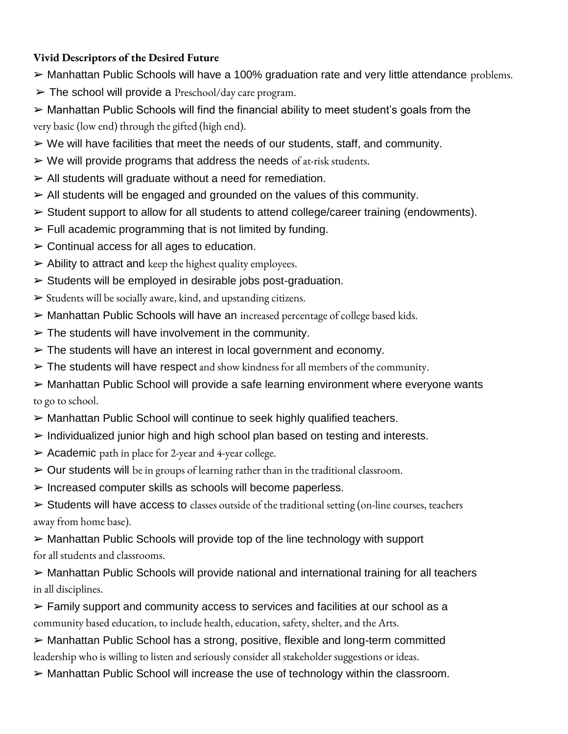## **Vivid Descriptors of the Desired Future**

- $\triangleright$  Manhattan Public Schools will have a 100% graduation rate and very little attendance problems.
- $\triangleright$  The school will provide a Preschool/day care program.
- ➢ Manhattan Public Schools will find the financial ability to meet student's goals from the very basic (low end) through the gifted (high end).
- $\triangleright$  We will have facilities that meet the needs of our students, staff, and community.
- $\triangleright$  We will provide programs that address the needs of at-risk students.
- $\triangleright$  All students will graduate without a need for remediation.
- $\triangleright$  All students will be engaged and grounded on the values of this community.
- $\triangleright$  Student support to allow for all students to attend college/career training (endowments).
- $\triangleright$  Full academic programming that is not limited by funding.
- $\triangleright$  Continual access for all ages to education.
- $\triangleright$  Ability to attract and keep the highest quality employees.
- $\triangleright$  Students will be employed in desirable jobs post-graduation.
- $\triangleright$  Students will be socially aware, kind, and upstanding citizens.
- ➢ Manhattan Public Schools will have an increased percentage of college based kids.
- $\triangleright$  The students will have involvement in the community.
- $\triangleright$  The students will have an interest in local government and economy.
- $\triangleright$  The students will have respect and show kindness for all members of the community.
- ➢ Manhattan Public School will provide a safe learning environment where everyone wants to go to school.
- ➢ Manhattan Public School will continue to seek highly qualified teachers.
- $\triangleright$  Individualized junior high and high school plan based on testing and interests.
- $\triangleright$  Academic path in place for 2-year and 4-year college.
- $\triangleright$  Our students will be in groups of learning rather than in the traditional classroom.
- $\triangleright$  Increased computer skills as schools will become paperless.
- $\triangleright$  Students will have access to classes outside of the traditional setting (on-line courses, teachers away from home base).
- $\triangleright$  Manhattan Public Schools will provide top of the line technology with support for all students and classrooms.
- ➢ Manhattan Public Schools will provide national and international training for all teachers in all disciplines.
- $\triangleright$  Family support and community access to services and facilities at our school as a community based education, to include health, education, safety, shelter, and the Arts.
- ➢ Manhattan Public School has a strong, positive, flexible and long-term committed leadership who is willing to listen and seriously consider all stakeholder suggestions or ideas.
- ➢ Manhattan Public School will increase the use of technology within the classroom.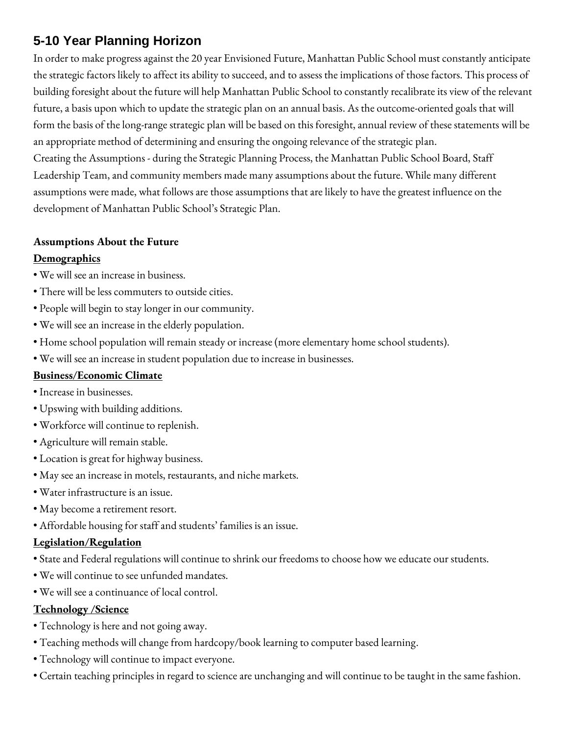## **5-10 Year Planning Horizon**

In order to make progress against the 20 year Envisioned Future, Manhattan Public School must constantly anticipate the strategic factors likely to affect its ability to succeed, and to assess the implications of those factors. This process of building foresight about the future will help Manhattan Public School to constantly recalibrate its view of the relevant future, a basis upon which to update the strategic plan on an annual basis. As the outcome-oriented goals that will form the basis of the long-range strategic plan will be based on this foresight, annual review of these statements will be an appropriate method of determining and ensuring the ongoing relevance of the strategic plan. Creating the Assumptions - during the Strategic Planning Process, the Manhattan Public School Board, Staff Leadership Team, and community members made many assumptions about the future. While many different assumptions were made, what follows are those assumptions that are likely to have the greatest influence on the development of Manhattan Public School's Strategic Plan.

#### **Assumptions About the Future**

#### **Demographics**

- We will see an increase in business.
- There will be less commuters to outside cities.
- People will begin to stay longer in our community.
- We will see an increase in the elderly population.
- Home school population will remain steady or increase (more elementary home school students).
- We will see an increase in student population due to increase in businesses.

## **Business/Economic Climate**

- Increase in businesses.
- Upswing with building additions.
- Workforce will continue to replenish.
- Agriculture will remain stable.
- Location is great for highway business.
- May see an increase in motels, restaurants, and niche markets.
- Water infrastructure is an issue.
- May become a retirement resort.
- Affordable housing for staff and students' families is an issue.

## **Legislation/Regulation**

- State and Federal regulations will continue to shrink our freedoms to choose how we educate our students.
- We will continue to see unfunded mandates.
- We will see a continuance of local control.

#### **Technology /Science**

- Technology is here and not going away.
- Teaching methods will change from hardcopy/book learning to computer based learning.
- Technology will continue to impact everyone.
- Certain teaching principles in regard to science are unchanging and will continue to be taught in the same fashion.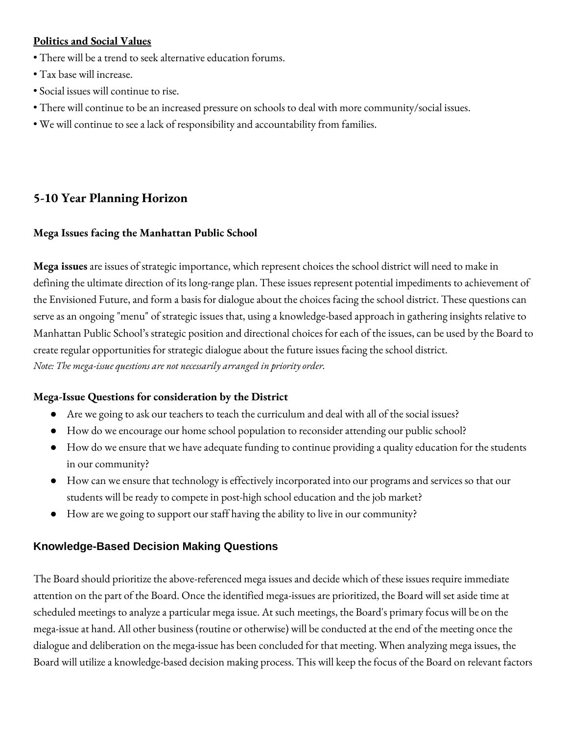## **Politics and Social Values**

- There will be a trend to seek alternative education forums.
- Tax base will increase.
- Social issues will continue to rise.
- There will continue to be an increased pressure on schools to deal with more community/social issues.
- We will continue to see a lack of responsibility and accountability from families.

## **5-10 Year Planning Horizon**

## **Mega Issues facing the Manhattan Public School**

**Mega issues** are issues of strategic importance, which represent choices the school district will need to make in defining the ultimate direction of its long-range plan. These issues represent potential impediments to achievement of the Envisioned Future, and form a basis for dialogue about the choices facing the school district. These questions can serve as an ongoing "menu" of strategic issues that, using a knowledge-based approach in gathering insights relative to Manhattan Public School's strategic position and directional choices for each of the issues, can be used by the Board to create regular opportunities for strategic dialogue about the future issues facing the school district. *Note: The mega-issue questions are not necessarily arranged in priority order.* 

## **Mega-Issue Questions for consideration by the District**

- Are we going to ask our teachers to teach the curriculum and deal with all of the social issues?
- How do we encourage our home school population to reconsider attending our public school?
- How do we ensure that we have adequate funding to continue providing a quality education for the students in our community?
- How can we ensure that technology is effectively incorporated into our programs and services so that our students will be ready to compete in post-high school education and the job market?
- How are we going to support our staff having the ability to live in our community?

## **Knowledge-Based Decision Making Questions**

The Board should prioritize the above-referenced mega issues and decide which of these issues require immediate attention on the part of the Board. Once the identified mega-issues are prioritized, the Board will set aside time at scheduled meetings to analyze a particular mega issue. At such meetings, the Board's primary focus will be on the mega-issue at hand. All other business (routine or otherwise) will be conducted at the end of the meeting once the dialogue and deliberation on the mega-issue has been concluded for that meeting. When analyzing mega issues, the Board will utilize a knowledge-based decision making process. This will keep the focus of the Board on relevant factors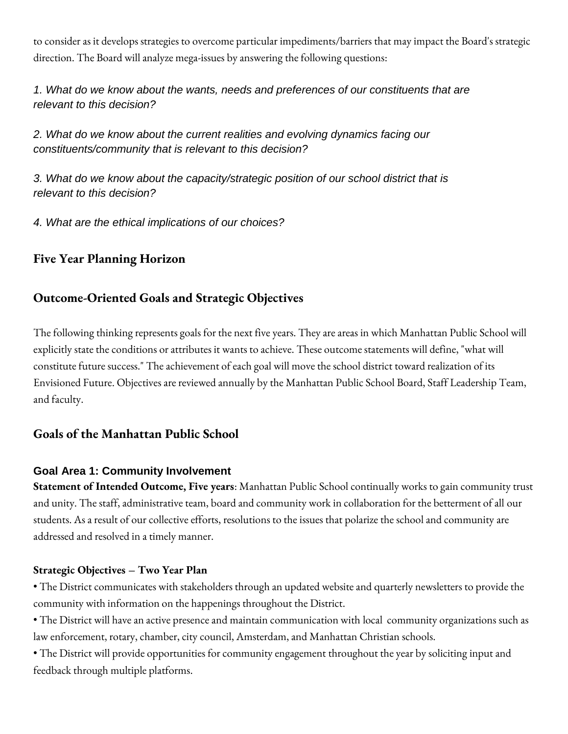to consider as it develops strategies to overcome particular impediments/barriers that may impact the Board's strategic direction. The Board will analyze mega-issues by answering the following questions:

*1. What do we know about the wants, needs and preferences of our constituents that are relevant to this decision?* 

*2. What do we know about the current realities and evolving dynamics facing our constituents/community that is relevant to this decision?* 

*3. What do we know about the capacity/strategic position of our school district that is relevant to this decision?* 

*4. What are the ethical implications of our choices?* 

## **Five Year Planning Horizon**

## **Outcome-Oriented Goals and Strategic Objectives**

The following thinking represents goals for the next five years. They are areas in which Manhattan Public School will explicitly state the conditions or attributes it wants to achieve. These outcome statements will define, "what will constitute future success." The achievement of each goal will move the school district toward realization of its Envisioned Future. Objectives are reviewed annually by the Manhattan Public School Board, Staff Leadership Team, and faculty.

## **Goals of the Manhattan Public School**

## **Goal Area 1: Community Involvement**

**Statement of Intended Outcome, Five years**: Manhattan Public School continually works to gain community trust and unity. The staff, administrative team, board and community work in collaboration for the betterment of all our students. As a result of our collective efforts, resolutions to the issues that polarize the school and community are addressed and resolved in a timely manner.

## **Strategic Objectives – Two Year Plan**

• The District communicates with stakeholders through an updated website and quarterly newsletters to provide the community with information on the happenings throughout the District.

• The District will have an active presence and maintain communication with local community organizations such as law enforcement, rotary, chamber, city council, Amsterdam, and Manhattan Christian schools.

• The District will provide opportunities for community engagement throughout the year by soliciting input and feedback through multiple platforms.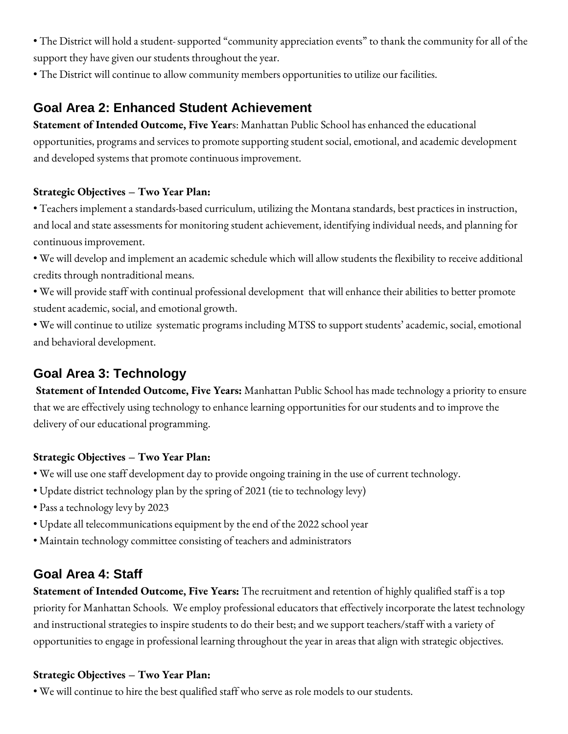• The District will hold a student supported "community appreciation events" to thank the community for all of the support they have given our students throughout the year.

• The District will continue to allow community members opportunities to utilize our facilities.

## **Goal Area 2: Enhanced Student Achievement**

**Statement of Intended Outcome, Five Year**s: Manhattan Public School has enhanced the educational opportunities, programs and services to promote supporting student social, emotional, and academic development and developed systems that promote continuous improvement.

## **Strategic Objectives – Two Year Plan:**

• Teachers implement a standards-based curriculum, utilizing the Montana standards, best practices in instruction, and local and state assessments for monitoring student achievement, identifying individual needs, and planning for continuous improvement.

• We will develop and implement an academic schedule which will allow students the flexibility to receive additional credits through nontraditional means.

• We will provide staff with continual professional development that will enhance their abilities to better promote student academic, social, and emotional growth.

• We will continue to utilize systematic programs including MTSS to support students' academic, social, emotional and behavioral development.

## **Goal Area 3: Technology**

**Statement of Intended Outcome, Five Years:** Manhattan Public School has made technology a priority to ensure that we are effectively using technology to enhance learning opportunities for our students and to improve the delivery of our educational programming.

## **Strategic Objectives – Two Year Plan:**

- We will use one staff development day to provide ongoing training in the use of current technology.
- Update district technology plan by the spring of 2021 (tie to technology levy)
- Pass a technology levy by 2023
- Update all telecommunications equipment by the end of the 2022 school year
- Maintain technology committee consisting of teachers and administrators

## **Goal Area 4: Staff**

**Statement of Intended Outcome, Five Years:** The recruitment and retention of highly qualified staff is a top priority for Manhattan Schools. We employ professional educators that effectively incorporate the latest technology and instructional strategies to inspire students to do their best; and we support teachers/staff with a variety of opportunities to engage in professional learning throughout the year in areas that align with strategic objectives.

#### **Strategic Objectives – Two Year Plan:**

• We will continue to hire the best qualified staff who serve as role models to our students.